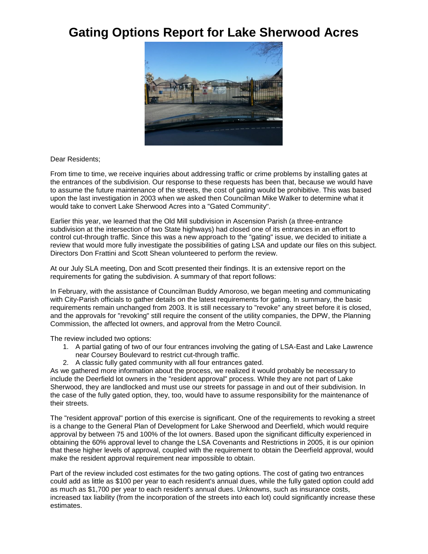## **Gating Options Report for Lake Sherwood Acres**



Dear Residents;

From time to time, we receive inquiries about addressing traffic or crime problems by installing gates at the entrances of the subdivision. Our response to these requests has been that, because we would have to assume the future maintenance of the streets, the cost of gating would be prohibitive. This was based upon the last investigation in 2003 when we asked then Councilman Mike Walker to determine what it would take to convert Lake Sherwood Acres into a "Gated Community".

Earlier this year, we learned that the Old Mill subdivision in Ascension Parish (a three-entrance subdivision at the intersection of two State highways) had closed one of its entrances in an effort to control cut-through traffic. Since this was a new approach to the "gating" issue, we decided to initiate a review that would more fully investigate the possibilities of gating LSA and update our files on this subject. Directors Don Frattini and Scott Shean volunteered to perform the review.

At our July SLA meeting, Don and Scott presented their findings. It is an extensive report on the requirements for gating the subdivision. A summary of that report follows:

In February, with the assistance of Councilman Buddy Amoroso, we began meeting and communicating with City-Parish officials to gather details on the latest requirements for gating. In summary, the basic requirements remain unchanged from 2003. It is still necessary to "revoke" any street before it is closed, and the approvals for "revoking" still require the consent of the utility companies, the DPW, the Planning Commission, the affected lot owners, and approval from the Metro Council.

The review included two options:

- 1. A partial gating of two of our four entrances involving the gating of LSA-East and Lake Lawrence near Coursey Boulevard to restrict cut-through traffic.
- 2. A classic fully gated community with all four entrances gated.

As we gathered more information about the process, we realized it would probably be necessary to include the Deerfield lot owners in the "resident approval" process. While they are not part of Lake Sherwood, they are landlocked and must use our streets for passage in and out of their subdivision. In the case of the fully gated option, they, too, would have to assume responsibility for the maintenance of their streets.

The "resident approval" portion of this exercise is significant. One of the requirements to revoking a street is a change to the General Plan of Development for Lake Sherwood and Deerfield, which would require approval by between 75 and 100% of the lot owners. Based upon the significant difficulty experienced in obtaining the 60% approval level to change the LSA Covenants and Restrictions in 2005, it is our opinion that these higher levels of approval, coupled with the requirement to obtain the Deerfield approval, would make the resident approval requirement near impossible to obtain.

Part of the review included cost estimates for the two gating options. The cost of gating two entrances could add as little as \$100 per year to each resident's annual dues, while the fully gated option could add as much as \$1,700 per year to each resident's annual dues. Unknowns, such as insurance costs, increased tax liability (from the incorporation of the streets into each lot) could significantly increase these estimates.